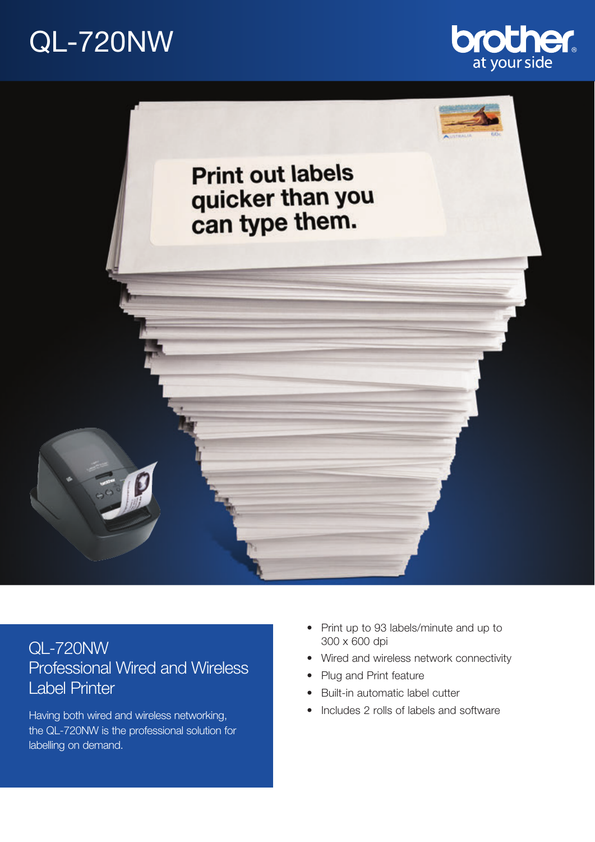# QL-720NW





# QL-720NW Professional Wired and Wireless Label Printer

Having both wired and wireless networking, the QL-720NW is the professional solution for labelling on demand.

- Print up to 93 labels/minute and up to 300 x 600 dpi
- Wired and wireless network connectivity
- Plug and Print feature
- Built-in automatic label cutter
- Includes 2 rolls of labels and software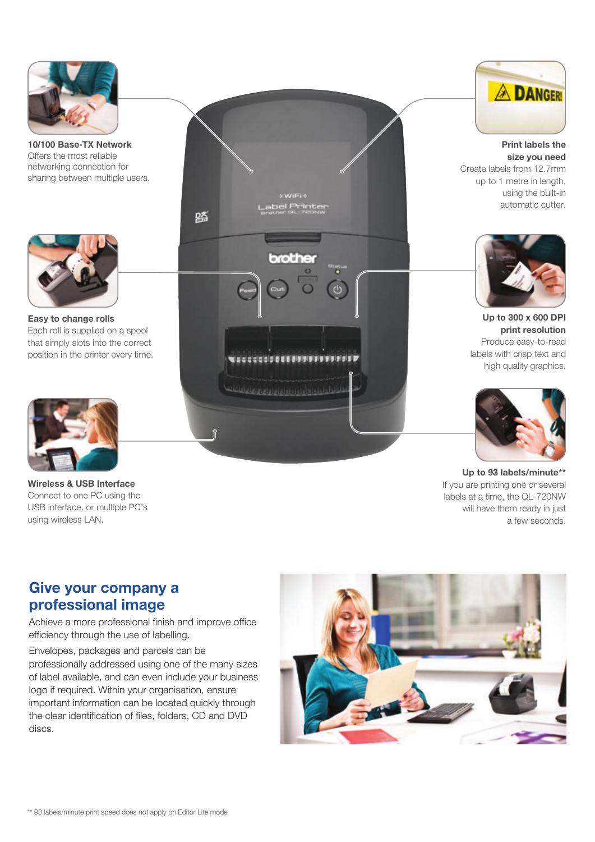

**10/100 Base-TX Network**  Offers the most reliable networking connection for sharing between multiple users.



**Easy to change rolls** Each roll is supplied on a spool that simply slots into the correct position in the printer every time.



**Wireless & USB Interface** Connect to one PC using the USB interface, or multiple PC's using wireless LAN.





**Print labels the size you need** Create labels from 12.7mm up to 1 metre in length, using the built-in automatic cutter.



**Up to 300 x 600 DPI print resolution** Produce easy-to-read labels with crisp text and high quality graphics.



**Up to 93 labels/minute\*\*** If you are printing one or several labels at a time, the QL-720NW will have them ready in just a few seconds.

### **Give your company a professional image**

Achieve a more professional finish and improve office efficiency through the use of labelling.

Envelopes, packages and parcels can be professionally addressed using one of the many sizes of label available, and can even include your business logo if required. Within your organisation, ensure important information can be located quickly through the clear identification of files, folders, CD and DVD discs.

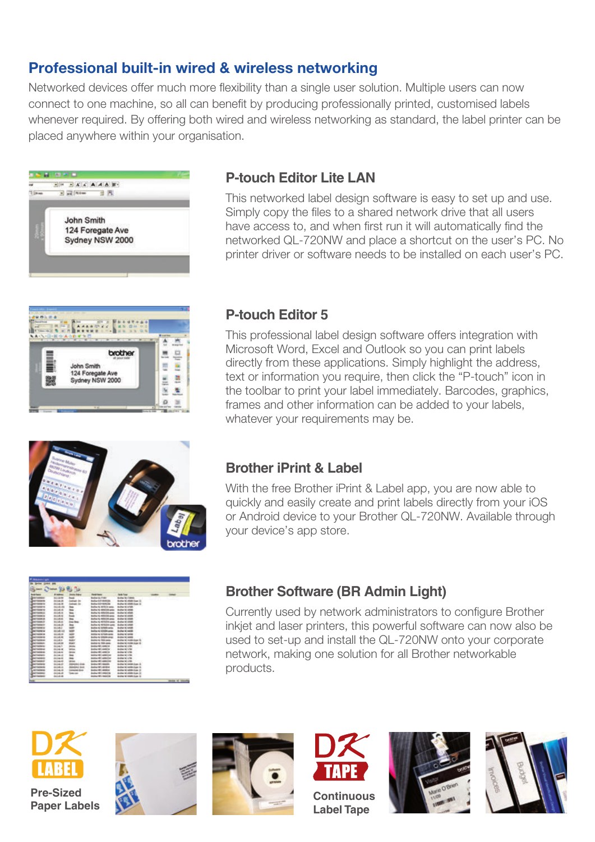# **Professional built-in wired & wireless networking**

Networked devices offer much more flexibility than a single user solution. Multiple users can now connect to one machine, so all can benefit by producing professionally printed, customised labels whenever required. By offering both wired and wireless networking as standard, the label printer can be placed anywhere within your organisation.





## **P-touch Editor Lite LAN**

This networked label design software is easy to set up and use. Simply copy the files to a shared network drive that all users have access to, and when first run it will automatically find the networked QL-720NW and place a shortcut on the user's PC. No printer driver or software needs to be installed on each user's PC.

#### **P-touch Editor 5**

This professional label design software offers integration with Microsoft Word, Excel and Outlook so you can print labels directly from these applications. Simply highlight the address, text or information you require, then click the "P-touch" icon in the toolbar to print your label immediately. Barcodes, graphics, frames and other information can be added to your labels, whatever your requirements may be.



#### **Brother iPrint & Label**

With the free Brother iPrint & Label app, you are now able to quickly and easily create and print labels directly from your iOS or Android device to your Brother QL-720NW. Available through your device's app store.

| <b>Carlos della</b> |                          |                                    |                                     |                                      |          |   |
|---------------------|--------------------------|------------------------------------|-------------------------------------|--------------------------------------|----------|---|
|                     |                          |                                    |                                     |                                      |          |   |
| <b>SHEAT</b>        | <b><i>St. Labour</i></b> |                                    |                                     |                                      |          |   |
| <b>Suite Daire</b>  | If indicate              | <b>SHAKE TABLE</b>                 | <b><i><u>The Artists</u></i></b>    | <b>Made Trans-</b>                   | $\cdots$ | - |
|                     | 61,676                   | w                                  | <b>Brainer &amp; Alvaso</b>         | <b>Antiqu'dis / Glass</b>            |          |   |
|                     | 816.8                    |                                    | <b>Belley G.S. Hinkiller</b>        | Analysi M. Aliabi Avenue III.        |          |   |
|                     | $^{}$                    |                                    | <b>Authoritie Metallis</b>          | Analyse Mi 44000 Store 12            |          |   |
|                     | 414.44                   | -                                  | <b>Brodley Ha (Mille) at carine</b> | <b>Brother AC striple</b>            |          |   |
|                     |                          |                                    | <b>Bullet Is 400000 spin</b>        | <b>Business Inc. withink</b>         |          |   |
|                     | e.                       | -                                  | Modifier VA ARTISTERS parts         | <b>Brother Int edited</b>            |          |   |
|                     | $4 - 4$                  |                                    | <b>Brother In ASSISTED skills</b>   | <b>Bullet &amp;C (2008)</b>          |          |   |
|                     | $^{**}$                  |                                    | <b>Broffee VA RESIDENT AREA</b>     | <b>Broker &amp;C which</b>           |          |   |
| m                   | si in                    | Inch State                         | <b>Brillian AL 4074034 cares</b>    | Bullet 60 (008)                      |          |   |
| <b>MACH</b>         | 4.3                      | -                                  | <b>Bollard, 47504 anti-</b>         | dealer 60 stille                     |          |   |
|                     | m                        | ÷                                  | Motive-AL ASTRON-carrier            | <b>Bullet IC-1408</b>                |          |   |
| <b>SERVICE</b>      | di si                    | w                                  | <b>Brillian AL AGNESS paints</b>    | <b><i><u>Index IC settle</u></i></b> |          |   |
| som in              | $\cdots$                 | ÷                                  | Middles via Aschedo colora:         | <b>Bullet M. Entre</b>               |          |   |
| --                  | 4.4                      | ÷                                  | Modified Hits Antiques unless:      | <b>Butter bil sidde</b>              |          |   |
|                     | a i                      | <b>MARK</b>                        | Modifier His Filish paints          | dealing to invisionize to            |          |   |
| ÷                   | $\frac{1}{2}$            | <b>Mind</b> er                     | <b>BANKIN RAVANA</b>                | Bruthar for mylde bruss rin          |          |   |
| <b>MAG</b>          | ia li                    | <b>Hills</b>                       | <b>Brahamerica content</b>          | <b>Authorized sides</b>              |          |   |
| <b>MARINE</b>       | $-0.1$                   | <b>INCOME</b>                      | <b>Business Fellin Joseph Car</b>   | <b>Butter to viter</b>               |          |   |
| --                  | <b>BOAT</b>              | <b>IN CALL</b>                     | <b>BURGHELL LOCALLY</b>             | <b>Author</b> fo <sup>r</sup> of the |          |   |
|                     | $-10$                    | m                                  | MARINA PRES ANDERS CONT.            | domestic cities.                     |          |   |
|                     | <b>ALCO</b>              |                                    | <b>MORALINE LIGHT</b>               | doctor to crite.                     |          |   |
|                     | 14.1                     | <b>DESIGN</b>                      | <b>Business Fell Load At</b>        | <b>Bushar Mr Life:</b>               |          |   |
|                     |                          | 44,000                             | <b>Brother FART OR</b>              | Analyse W. Service Assets (B)        |          |   |
|                     | s.                       |                                    | <b>Business FART, JACOBLIN</b>      | Brother W. Golde, August 16.         |          |   |
|                     | 1.14.8                   | <b><i><u>START OF STAR</u></i></b> | <b>Bullion HAT LORRISON</b>         | dealing to solide from 10            |          |   |
|                     | 808.8                    | <b>SEA LUE</b>                     | <b>Bullet Wilmiteria</b>            | dealer to stake hum 10.              |          |   |
|                     | als:                     |                                    | <b>Brother HPS medalling</b>        | Monitor for shade dozes 10           |          |   |

#### **Brother Software (BR Admin Light)**

Currently used by network administrators to configure Brother inkjet and laser printers, this powerful software can now also be used to set-up and install the QL-720NW onto your corporate network, making one solution for all Brother networkable products.